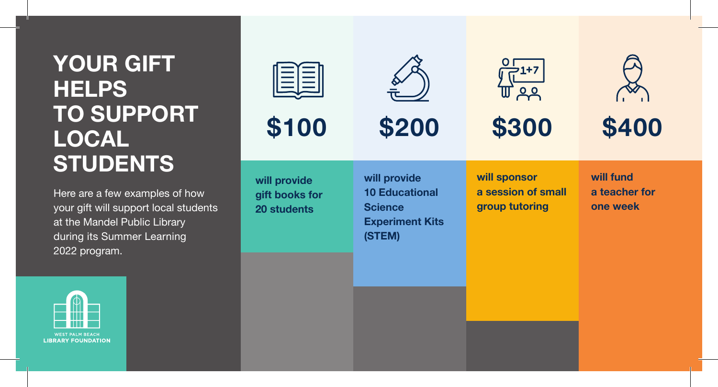# **YOUR GIFT HELPS TO SUPPORT LOCAL STUDENTS**

Here are a few examples of how your gift will support local students at the Mandel Public Library during its Summer Learning 2022 program.